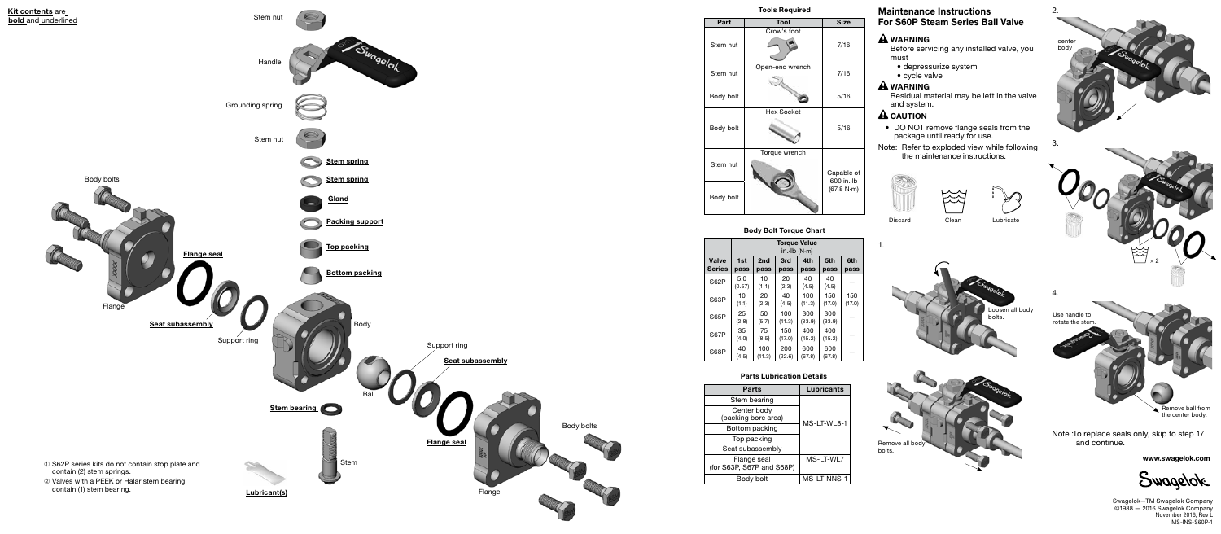www.swagelok.com

Swagelok

Swagelok—TM Swagelok Company ©1988 — 2016 Swagelok Company November 2016, Rev L MS-INS-S60P-1

## Maintenance Instructions For S60P Steam Series Ball Valve

### **A** WARNING

Before servicing any installed valve, you must

- depressurize system
- cycle valve

# **A** WARNING

Residual material may be left in the valve and system.

### $\hat{\mathbf{A}}$  CAUTION

• DO NOT remove flange seals from the package until ready for use.

Note: Refer to exploded view while following the maintenance instructions.









1.

Discard Clean Lubricate







|        | <b>Size</b>                            |
|--------|----------------------------------------|
| oot    | 7/16                                   |
| vrench | 7/16                                   |
|        | 5/16                                   |
| ket    | 5/16                                   |
| ench   |                                        |
|        | Capable of<br>600 in. Ib<br>(67.8 N·m) |

Tools Required



| je Value<br>b (N·m) |        |        |        |  |  |
|---------------------|--------|--------|--------|--|--|
|                     | 4th    | 5th    | 6th    |  |  |
| ì                   | pass   | pass   | pass   |  |  |
|                     | 40     | 40     |        |  |  |
|                     | (4.5)  | (4.5)  |        |  |  |
|                     | 100    | 150    | 150    |  |  |
|                     | (11.3) | (17.0) | (17.0) |  |  |
|                     | 300    | 300    |        |  |  |
|                     | (33.9) | (33.9) |        |  |  |
|                     | 400    | 400    |        |  |  |
|                     | (45.2) | (45.2) |        |  |  |
|                     | 600    | 600    |        |  |  |
|                     | (67.8) | (67.8) |        |  |  |
|                     |        |        |        |  |  |

|   | Lubricants  |
|---|-------------|
|   | MS-LT-WL8-1 |
| I | MS-LT-WL7   |
|   | MS-LT-NNS-1 |